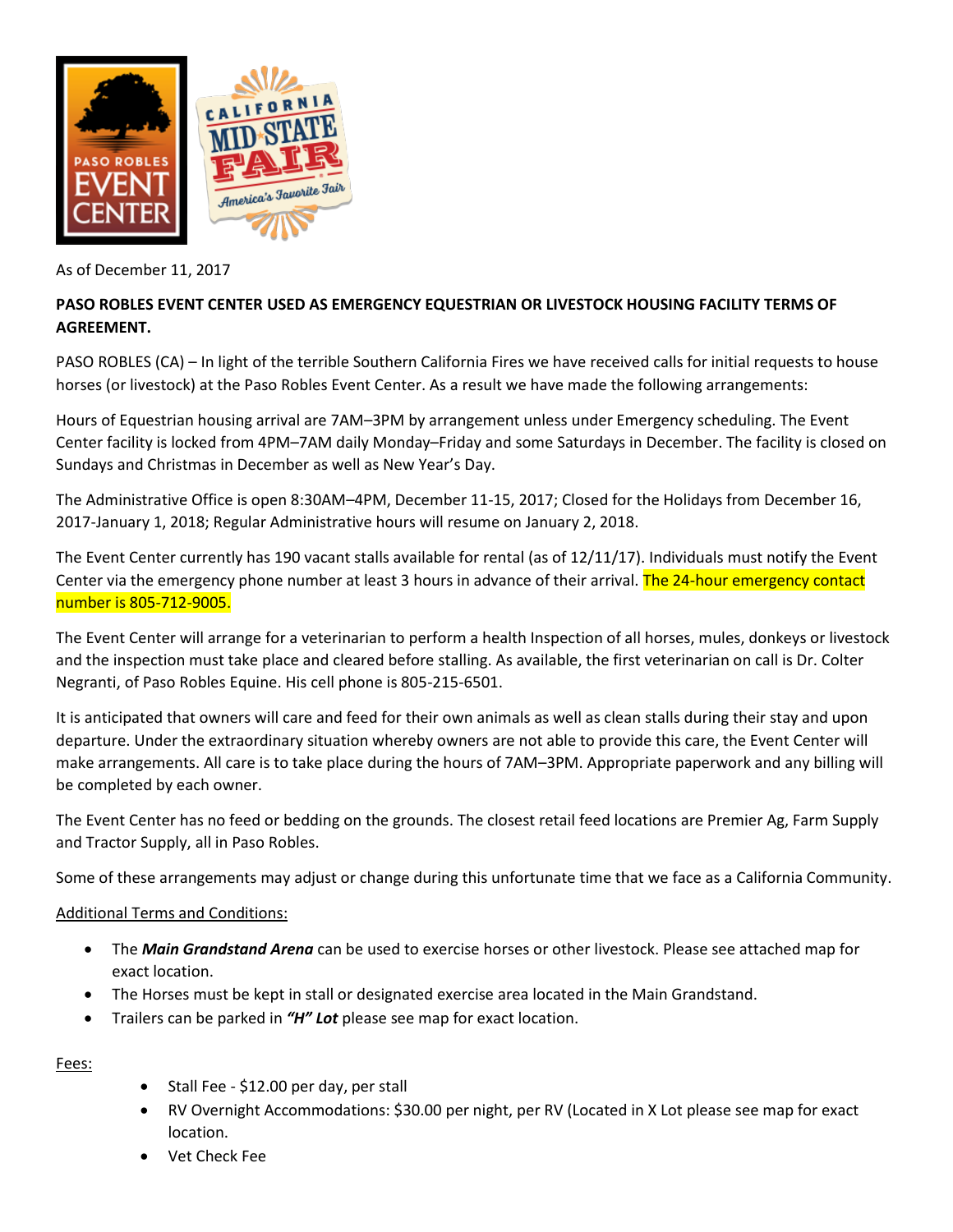

As of December 11, 2017

## **PASO ROBLES EVENT CENTER USED AS EMERGENCY EQUESTRIAN OR LIVESTOCK HOUSING FACILITY TERMS OF AGREEMENT.**

PASO ROBLES (CA) – In light of the terrible Southern California Fires we have received calls for initial requests to house horses (or livestock) at the Paso Robles Event Center. As a result we have made the following arrangements:

Hours of Equestrian housing arrival are 7AM–3PM by arrangement unless under Emergency scheduling. The Event Center facility is locked from 4PM–7AM daily Monday–Friday and some Saturdays in December. The facility is closed on Sundays and Christmas in December as well as New Year's Day.

The Administrative Office is open 8:30AM–4PM, December 11-15, 2017; Closed for the Holidays from December 16, 2017-January 1, 2018; Regular Administrative hours will resume on January 2, 2018.

The Event Center currently has 190 vacant stalls available for rental (as of 12/11/17). Individuals must notify the Event Center via the emergency phone number at least 3 hours in advance of their arrival. The 24-hour emergency contact number is 805-712-9005.

The Event Center will arrange for a veterinarian to perform a health Inspection of all horses, mules, donkeys or livestock and the inspection must take place and cleared before stalling. As available, the first veterinarian on call is Dr. Colter Negranti, of Paso Robles Equine. His cell phone is 805-215-6501.

It is anticipated that owners will care and feed for their own animals as well as clean stalls during their stay and upon departure. Under the extraordinary situation whereby owners are not able to provide this care, the Event Center will make arrangements. All care is to take place during the hours of 7AM–3PM. Appropriate paperwork and any billing will be completed by each owner.

The Event Center has no feed or bedding on the grounds. The closest retail feed locations are Premier Ag, Farm Supply and Tractor Supply, all in Paso Robles.

Some of these arrangements may adjust or change during this unfortunate time that we face as a California Community.

### Additional Terms and Conditions:

- The *Main Grandstand Arena* can be used to exercise horses or other livestock. Please see attached map for exact location.
- The Horses must be kept in stall or designated exercise area located in the Main Grandstand.
- Trailers can be parked in *"H" Lot* please see map for exact location.

Fees:

- Stall Fee \$12.00 per day, per stall
- RV Overnight Accommodations: \$30.00 per night, per RV (Located in X Lot please see map for exact location.
- Vet Check Fee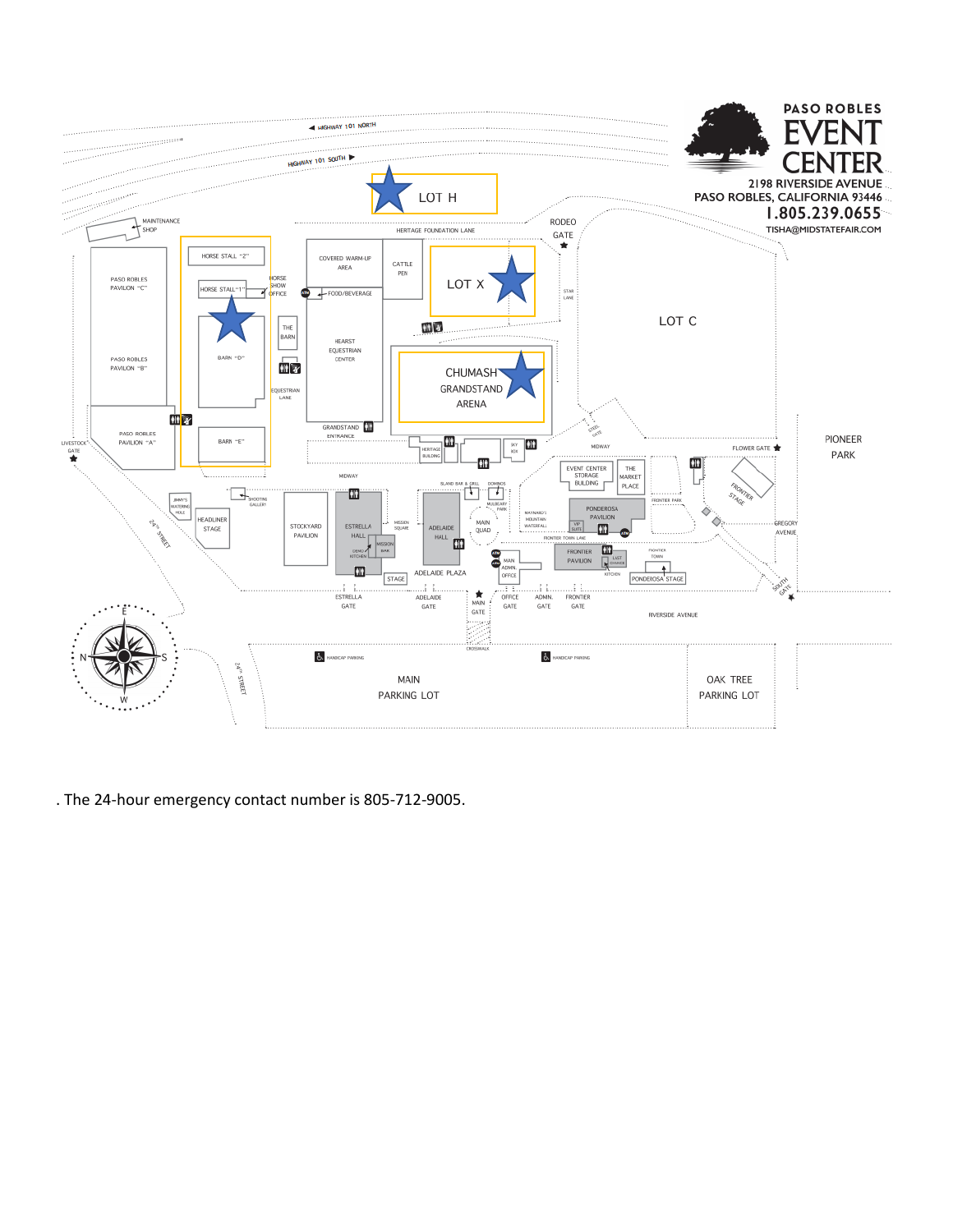

. The 24-hour emergency contact number is 805-712-9005.